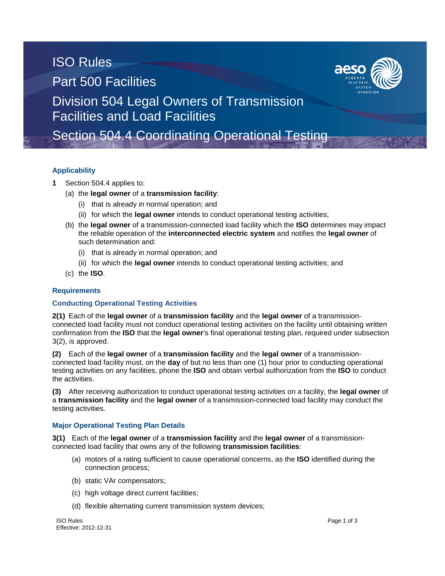# ISO Rules Part 500 Facilities



Division 504 Legal Owners of Transmission Facilities and Load Facilities

Section 504.4 Coordinating Operational Testing

## **Applicability**

- **1** Section 504.4 applies to:
	- (a) the **legal owner** of a **transmission facility**:
		- (i) that is already in normal operation; and
		- (ii) for which the **legal owner** intends to conduct operational testing activities;
	- (b) the **legal owner** of a transmission-connected load facility which the **ISO** determines may impact the reliable operation of the **interconnected electric system** and notifies the **legal owner** of such determination and:
		- (i) that is already in normal operation; and
		- (ii) for which the **legal owner** intends to conduct operational testing activities; and
	- (c) the **ISO**.

### **Requirements**

### **Conducting Operational Testing Activities**

**2(1)** Each of the **legal owner** of a **transmission facility** and the **legal owner** of a transmissionconnected load facility must not conduct operational testing activities on the facility until obtaining written confirmation from the **ISO** that the **legal owner**'s final operational testing plan, required under subsection 3(2), is approved.

**(2)** Each of the **legal owner** of a **transmission facility** and the **legal owner** of a transmissionconnected load facility must, on the **day** of but no less than one (1) hour prior to conducting operational testing activities on any facilities, phone the **ISO** and obtain verbal authorization from the **ISO** to conduct the activities.

**(3)** After receiving authorization to conduct operational testing activities on a facility, the **legal owner** of a **transmission facility** and the **legal owner** of a transmission-connected load facility may conduct the testing activities.

### **Major Operational Testing Plan Details**

**3(1)** Each of the **legal owner** of a **transmission facility** and the **legal owner** of a transmissionconnected load facility that owns any of the following **transmission facilities**:

- (a) motors of a rating sufficient to cause operational concerns, as the **ISO** identified during the connection process;
- (b) static VAr compensators;
- (c) high voltage direct current facilities;
- (d) flexible alternating current transmission system devices;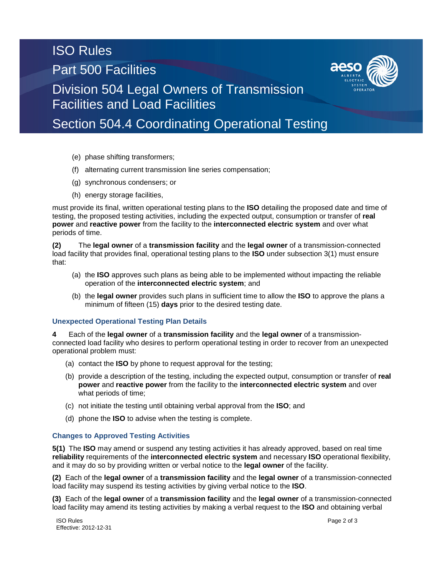# ISO Rules Part 500 Facilities



Division 504 Legal Owners of Transmission Facilities and Load Facilities

Section 504.4 Coordinating Operational Testing

- (e) phase shifting transformers;
- (f) alternating current transmission line series compensation;
- (g) synchronous condensers; or
- (h) energy storage facilities,

must provide its final, written operational testing plans to the **ISO** detailing the proposed date and time of testing, the proposed testing activities, including the expected output, consumption or transfer of **real power** and **reactive power** from the facility to the **interconnected electric system** and over what periods of time.

**(2)** The **legal owner** of a **transmission facility** and the **legal owner** of a transmission-connected load facility that provides final, operational testing plans to the **ISO** under subsection 3(1) must ensure that:

- (a) the **ISO** approves such plans as being able to be implemented without impacting the reliable operation of the **interconnected electric system**; and
- (b) the **legal owner** provides such plans in sufficient time to allow the **ISO** to approve the plans a minimum of fifteen (15) **days** prior to the desired testing date.

## **Unexpected Operational Testing Plan Details**

**4** Each of the **legal owner** of a **transmission facility** and the **legal owner** of a transmissionconnected load facility who desires to perform operational testing in order to recover from an unexpected operational problem must:

- (a) contact the **ISO** by phone to request approval for the testing;
- (b) provide a description of the testing, including the expected output, consumption or transfer of **real power** and **reactive power** from the facility to the **interconnected electric system** and over what periods of time;
- (c) not initiate the testing until obtaining verbal approval from the **ISO**; and
- (d) phone the **ISO** to advise when the testing is complete.

### **Changes to Approved Testing Activities**

**5(1)** The **ISO** may amend or suspend any testing activities it has already approved, based on real time **reliability** requirements of the **interconnected electric system** and necessary **ISO** operational flexibility, and it may do so by providing written or verbal notice to the **legal owner** of the facility.

**(2)** Each of the **legal owner** of a **transmission facility** and the **legal owner** of a transmission-connected load facility may suspend its testing activities by giving verbal notice to the **ISO**.

**(3)** Each of the **legal owner** of a **transmission facility** and the **legal owner** of a transmission-connected load facility may amend its testing activities by making a verbal request to the **ISO** and obtaining verbal

ISO Rules Page 2 of 3 Effective: 2012-12-31